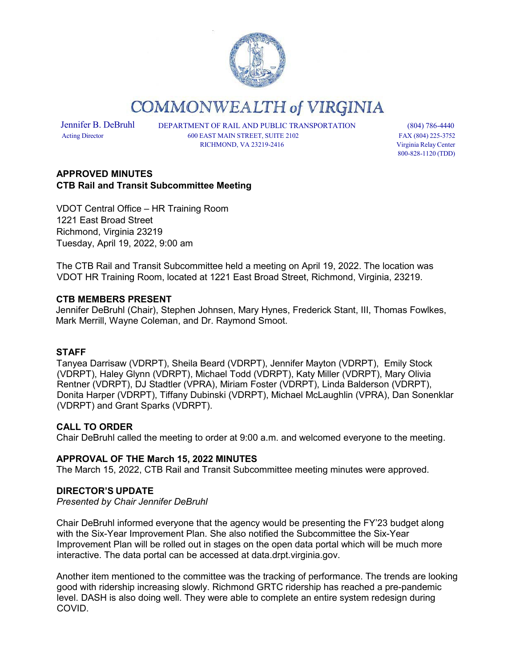

**COMMONWEALTH of VIRGINIA** 

Jennifer B. DeBruhl DEPARTMENT OF RAIL AND PUBLIC TRANSPORTATION (804) 786-4440 Acting Director 600 EAST MAIN STREET, SUITE 2102 FAX (804) 225-3752 RICHMOND, VA 23219-2416 Virginia Relay Center

800-828-1120 (TDD)

# **APPROVED MINUTES CTB Rail and Transit Subcommittee Meeting**

VDOT Central Office – HR Training Room 1221 East Broad Street Richmond, Virginia 23219 Tuesday, April 19, 2022, 9:00 am

The CTB Rail and Transit Subcommittee held a meeting on April 19, 2022. The location was VDOT HR Training Room, located at 1221 East Broad Street, Richmond, Virginia, 23219.

### **CTB MEMBERS PRESENT**

Jennifer DeBruhl (Chair), Stephen Johnsen, Mary Hynes, Frederick Stant, III, Thomas Fowlkes, Mark Merrill, Wayne Coleman, and Dr. Raymond Smoot.

### **STAFF**

Tanyea Darrisaw (VDRPT), Sheila Beard (VDRPT), Jennifer Mayton (VDRPT), Emily Stock (VDRPT), Haley Glynn (VDRPT), Michael Todd (VDRPT), Katy Miller (VDRPT), Mary Olivia Rentner (VDRPT), DJ Stadtler (VPRA), Miriam Foster (VDRPT), Linda Balderson (VDRPT), Donita Harper (VDRPT), Tiffany Dubinski (VDRPT), Michael McLaughlin (VPRA), Dan Sonenklar (VDRPT) and Grant Sparks (VDRPT).

### **CALL TO ORDER**

Chair DeBruhl called the meeting to order at 9:00 a.m. and welcomed everyone to the meeting.

### **APPROVAL OF THE March 15, 2022 MINUTES**

The March 15, 2022, CTB Rail and Transit Subcommittee meeting minutes were approved.

### **DIRECTOR'S UPDATE**

*Presented by Chair Jennifer DeBruhl*

Chair DeBruhl informed everyone that the agency would be presenting the FY'23 budget along with the Six-Year Improvement Plan. She also notified the Subcommittee the Six-Year Improvement Plan will be rolled out in stages on the open data portal which will be much more interactive. The data portal can be accessed at data.drpt.virginia.gov.

Another item mentioned to the committee was the tracking of performance. The trends are looking good with ridership increasing slowly. Richmond GRTC ridership has reached a pre-pandemic level. DASH is also doing well. They were able to complete an entire system redesign during COVID.